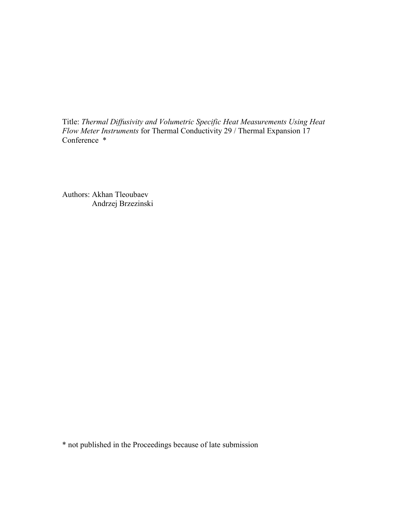Title: *Thermal Diffusivity and Volumetric Specific Heat Measurements Using Heat Flow Meter Instruments* for Thermal Conductivity 29 / Thermal Expansion 17 Conference \*

Authors: Akhan Tleoubaev Andrzej Brzezinski

\* not published in the Proceedings because of late submission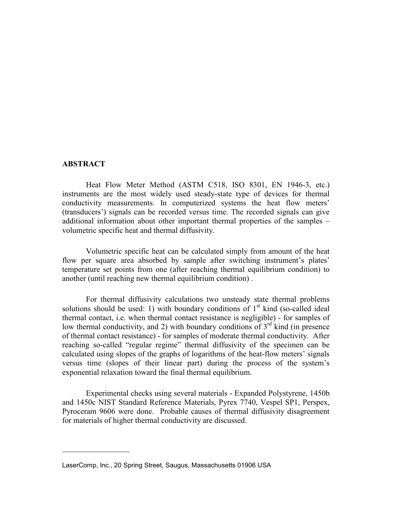## **ABSTRACT**

 $\frac{1}{2}$  ,  $\frac{1}{2}$  ,  $\frac{1}{2}$  ,  $\frac{1}{2}$  ,  $\frac{1}{2}$  ,  $\frac{1}{2}$  ,  $\frac{1}{2}$  ,  $\frac{1}{2}$  ,  $\frac{1}{2}$ 

Heat Flow Meter Method (ASTM C518, ISO 8301, EN 1946-3, etc.) instruments are the most widely used steady-state type of devices for thermal conductivity measurements. In computerized systems the heat flow meters' (transducers') signals can be recorded versus time. The recorded signals can give additional information about other important thermal properties of the samples – volumetric specific heat and thermal diffusivity.

Volumetric specific heat can be calculated simply from amount of the heat flow per square area absorbed by sample after switching instrument's plates' temperature set points from one (after reaching thermal equilibrium condition) to another (until reaching new thermal equilibrium condition) .

For thermal diffusivity calculations two unsteady state thermal problems solutions should be used: 1) with boundary conditions of  $1<sup>st</sup>$  kind (so-called ideal thermal contact, i.e. when thermal contact resistance is negligible) - for samples of low thermal conductivity, and 2) with boundary conditions of  $3<sup>rd</sup>$  kind (in presence of thermal contact resistance) - for samples of moderate thermal conductivity. After reaching so-called "regular regime" thermal diffusivity of the specimen can be calculated using slopes of the graphs of logarithms of the heat-flowmeters'signals versus time (slopes of their linear part) during the process of the system's exponential relaxation toward the final thermal equilibrium.

Experimental checks using several materials - Expanded Polystyrene, 1450b and 1450c NIST Standard Reference Materials, Pyrex 7740, Vespel SP1, Perspex, Pyroceram 9606 were done. Probable causes of thermal diffusivity disagreement for materials of higher thermal conductivity are discussed.

LaserComp, Inc., 20 Spring Street, Saugus, Massachusetts 01906 USA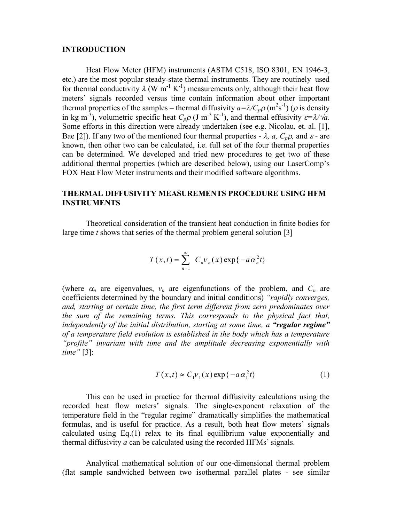#### **INTRODUCTION**

Heat Flow Meter (HFM) instruments (ASTM C518, ISO 8301, EN 1946-3, etc.) are the most popular steady-state thermal instruments. They are routinely used for thermal conductivity  $\lambda$  (W m<sup>-1</sup> K<sup>-1</sup>) measurements only, although their heat flow meters' signals recorded versus time contain information about other important thermal properties of the samples – thermal diffusivity  $a = \lambda / C_p \rho$  (m<sup>2</sup>s<sup>-1</sup>) ( $\rho$  is density in kg m<sup>-3</sup>), volumetric specific heat  $C_p \rho$  (J m<sup>-3</sup> K<sup>-1</sup>), and thermal effusivity  $\varepsilon = \lambda / \sqrt{a}$ . Some efforts in this direction were already undertaken (see e.g. Nicolau, et. al. [1], Bae [2]). If any two of the mentioned four thermal properties -  $\lambda$ ,  $a$ ,  $C_p \rho$ , and  $\varepsilon$  - are known, then other two can be calculated, i.e. full set of the four thermal properties can be determined. We developed and tried new procedures to get two of these additional thermal properties (which are described below), using our LaserComp's FOX Heat Flow Meter instruments and their modified software algorithms.

# **THERMAL DIFFUSIVITY MEASUREMENTS PROCEDURE USING HFM INSTRUMENTS**

Theoretical consideration of the transient heat conduction in finite bodies for large time *t* shows that series of the thermal problem general solution [3]

$$
T(x,t) = \sum_{n=1}^{\infty} C_n v_n(x) \exp\{-a\alpha_n^2 t\}
$$

(where  $\alpha_n$  are eigenvalues,  $v_n$  are eigenfunctions of the problem, and  $C_n$  are coefficients determined by the boundary and initial conditions) "rapidly converges, *and, starting at certain time, the first term different from zero predominates over the sum of the remaining terms. This corresponds to the physical fact that, independently of the initial distribution, starting at some time, a "regular regime" of a temperature field evolution is established in the body which has a temperature* "*profile*" invariant with time and the amplitude decreasing exponentially with *time"*[3]:

$$
T(x,t) \approx C_1 v_1(x) \exp\{-a\alpha_1^2 t\}
$$
 (1)

This can be used in practice for thermal diffusivity calculations using the recorded heat flow meters' signals. The single-exponent relaxation of the temperature field in the "regular regime" dramatically simplifies the mathematical formulas, and is useful for practice. As a result, both heat flow meters' signals calculated using Eq.(1) relax to its final equilibrium value exponentially and thermal diffusivity  $a$  can be calculated using the recorded HFMs' signals.

Analytical mathematical solution of our one-dimensional thermal problem (flat sample sandwiched between two isothermal parallel plates - see similar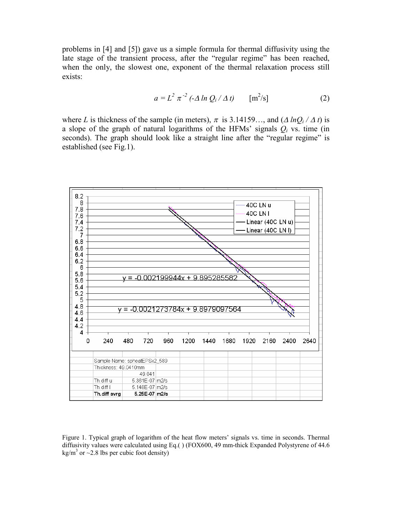problems in [4] and [5]) gave us a simple formula for thermal diffusivity using the late stage of the transient process, after the "regular regime" has been reached, when the only, the slowest one, exponent of the thermal relaxation process still exists:

$$
a = L^2 \pi^{-2} \left( -\Delta \ln Q_i / \Delta t \right) \qquad [\text{m}^2/\text{s}] \tag{2}
$$

where *L* is thickness of the sample (in meters),  $\pi$  is 3.14159..., and  $(\Delta lnQ_i / \Delta t)$  is a slope of the graph of natural logarithms of the HFMs' signals  $Q_i$  vs. time (in seconds). The graph should look like a straight line after the "regular regime" is established (see Fig.1).



Figure 1. Typical graph of logarithm of the heat flow meters' signals vs. time in seconds. Thermal diffusivity values were calculated using Eq.( ) (FOX600, 49 mm-thick Expanded Polystyrene of 44.6 kg/m<sup>3</sup> or  $\sim$ 2.8 lbs per cubic foot density)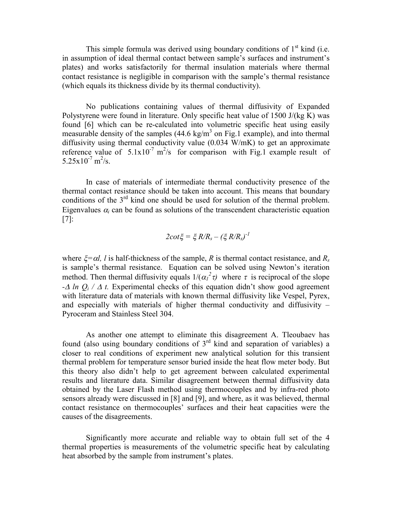This simple formula was derived using boundary conditions of  $1<sup>st</sup>$  kind (i.e. in assumption of ideal thermal contact between sample's surfaces and instrument's plates) and works satisfactorily for thermal insulation materials where thermal contact resistance is negligible in comparison with the sample's thermal resistance (which equals its thickness divide by its thermal conductivity).

No publications containing values of thermal diffusivity of Expanded Polystyrene were found in literature. Only specific heat value of 1500 J/(kg K) was found [6] which can be re-calculated into volumetric specific heat using easily measurable density of the samples  $(44.6 \text{ kg/m}^3 \text{ on Fig.1 example})$ , and into thermal diffusivity using thermal conductivity value (0.034 W/mK) to get an approximate reference value of  $5.1 \times 10^{-7}$  m<sup>2</sup>/s for comparison with Fig.1 example result of  $5.25 \times 10^{-7}$  m<sup>2</sup>/s.

In case of materials of intermediate thermal conductivity presence of the thermal contact resistance should be taken into account. This means that boundary conditions of the  $3<sup>rd</sup>$  kind one should be used for solution of the thermal problem. Eigenvalues  $\alpha_i$  can be found as solutions of the transcendent characteristic equation [7]:

$$
2\cot\xi=\xi\,R/R_s-(\xi\,R/R_s)^{-1}
$$

where  $\zeta = \alpha l$ , *l* is half-thickness of the sample, *R* is thermal contact resistance, and  $R_s$ is sample's thermal resistance. Equation can be solved using Newton's iteration method. Then thermal diffusivity equals  $1/(\alpha_I^2 \tau)$  where  $\tau$  is reciprocal of the slope  $-\Delta \ln Q_i / \Delta t$ . Experimental checks of this equation didn't show good agreement with literature data of materials with known thermal diffusivity like Vespel, Pyrex, and especially with materials of higher thermal conductivity and diffusivity – Pyroceram and Stainless Steel 304.

As another one attempt to eliminate this disagreement A. Tleoubaev has found (also using boundary conditions of 3rd kind and separation of variables) a closer to real conditions of experiment new analytical solution for this transient thermal problem for temperature sensor buried inside the heat flow meter body. But this theory also didn't help to get agreement between calculated experimental results and literature data. Similar disagreement between thermal diffusivity data obtained by the Laser Flash method using thermocouples and by infra-red photo sensors already were discussed in [8] and [9], and where, as it was believed, thermal contact resistance on thermocouples' surfaces and their heat capacities were the causes of the disagreements.

Significantly more accurate and reliable way to obtain full set of the 4 thermal properties is measurements of the volumetric specific heat by calculating heat absorbed by the sample from instrument's plates.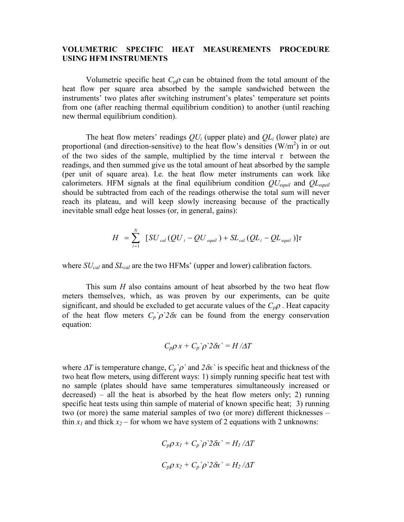# **VOLUMETRIC SPECIFIC HEAT MEASUREMENTS PROCEDURE USING HFM INSTRUMENTS**

Volumetric specific heat  $C_p \rho$  can be obtained from the total amount of the heat flow per square area absorbed by the sample sandwiched between the instruments' two plates after switching instrument's plates' temperature set points from one (after reaching thermal equilibrium condition) to another (until reaching new thermal equilibrium condition).

The heat flow meters' readings  $QU_i$  (upper plate) and  $QL_i$  (lower plate) are proportional (and direction-sensitive) to the heat flow's densities  $(W/m^2)$  in or out of the two sides of the sample, multiplied by the time interval  $\tau$  between the readings, and then summed give us the total amount of heat absorbed by the sample (per unit of square area). I.e. the heat flow meter instruments can work like calorimeters. HFM signals at the final equilibrium condition *QUequil* and *QLequil* should be subtracted from each of the readings otherwise the total sum will never reach its plateau, and will keep slowly increasing because of the practically inevitable small edge heat losses (or, in general, gains):

$$
H = \sum_{i=1}^{N} \left[ SU_{cal}(QU_{i} - QU_{equil}) + SL_{cal}(QL_{i} - QL_{equil}) \right] \tau
$$

where *SUcal* and *SLcal* are the two HFMs'(upper and lower) calibration factors.

This sum *H* also contains amount of heat absorbed by the two heat flow meters themselves, which, as was proven by our experiments, can be quite significant, and should be excluded to get accurate values of the  $C_p \rho$ . Heat capacity of the heat flow meters  $C_p$ <sup>'</sup> $\rho$ <sup>'</sup> $2\delta x$  can be found from the energy conservation equation:

$$
C_p \rho x + C_p \rho^2 \partial x = H / \Delta T
$$

where  $\Delta T$  is temperature change,  $C_p$ <sup>'</sup> $\rho$ <sup>'</sup> and  $2\delta x$ <sup>'</sup> is specific heat and thickness of the two heat flow meters, using different ways: 1) simply running specific heat test with no sample (plates should have same temperatures simultaneously increased or decreased) – all the heat is absorbed by the heat flow meters only; 2) running specific heat tests using thin sample of material of known specific heat; 3) running two (or more) the same material samples of two (or more) different thicknesses – thin  $x_1$  and thick  $x_2$  – for whom we have system of 2 equations with 2 unknowns:

$$
C_p \rho x_I + C_p \rho^2 2 \delta x = H_I / \Delta T
$$
  

$$
C_p \rho x_2 + C_p \rho^2 2 \delta x = H_2 / \Delta T
$$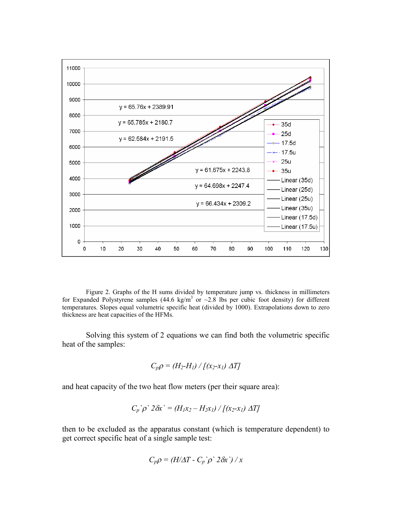

Figure 2. Graphs of the H sums divided by temperature jump vs. thickness in millimeters for Expanded Polystyrene samples (44.6 kg/m<sup>3</sup> or  $\sim$  2.8 lbs per cubic foot density) for different temperatures. Slopes equal volumetric specific heat (divided by 1000). Extrapolations down to zero thickness are heat capacities of the HFMs.

Solving this system of 2 equations we can find both the volumetric specific heat of the samples:

$$
C_p \rho = (H_2 \text{-} H_1) / [(x_2 \text{-} x_1) \Delta T]
$$

and heat capacity of the two heat flow meters (per their square area):

$$
C_p \hat{\rho}^2 2 \delta x^2 = (H_1 x_2 - H_2 x_1) / [(x_2 - x_1) \Delta T]
$$

then to be excluded as the apparatus constant (which is temperature dependent) to get correct specific heat of a single sample test:

$$
C_p \rho = (H/\Delta T - C_p) \rho^2 2 \delta x^2 / x
$$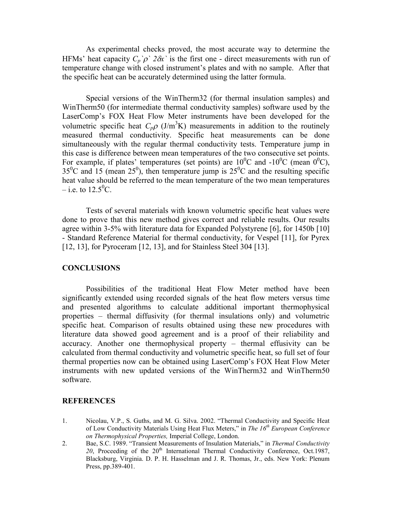As experimental checks proved, the most accurate way to determine the HFMs' heat capacity  $C_p$   $\hat{p}$   $2\delta x$  is the first one - direct measurements with run of temperature change with closed instrument's plates and with no sample. After that the specific heat can be accurately determined using the latter formula.

Special versions of the WinTherm32 (for thermal insulation samples) and WinTherm50 (for intermediate thermal conductivity samples) software used by the LaserComp's FOX Heat Flow Meter instruments have been developed for the volumetric specific heat  $C_p \rho$  (J/m<sup>3</sup>K) measurements in addition to the routinely measured thermal conductivity. Specific heat measurements can be done simultaneously with the regular thermal conductivity tests. Temperature jump in this case is difference between mean temperatures of the two consecutive set points. For example, if plates' temperatures (set points) are  $10^{0}$ C and  $-10^{0}$ C (mean  $0^{0}$ C),  $35^{\circ}$ C and 15 (mean  $25^{\circ}$ ), then temperature jump is  $25^{\circ}$ C and the resulting specific heat value should be referred to the mean temperature of the two mean temperatures  $-$ i.e. to 12.5<sup>0</sup>C.

Tests of several materials with known volumetric specific heat values were done to prove that this new method gives correct and reliable results. Our results agree within 3-5% with literature data for Expanded Polystyrene [6], for 1450b [10] - Standard Reference Material for thermal conductivity, for Vespel [11], for Pyrex [12, 13], for Pyroceram [12, 13], and for Stainless Steel 304 [13].

## **CONCLUSIONS**

Possibilities of the traditional Heat Flow Meter method have been significantly extended using recorded signals of the heat flow meters versus time and presented algorithms to calculate additional important thermophysical properties – thermal diffusivity (for thermal insulations only) and volumetric specific heat. Comparison of results obtained using these new procedures with literature data showed good agreement and is a proof of their reliability and accuracy. Another one thermophysical property – thermal effusivity can be calculated from thermal conductivity and volumetric specific heat, so full set of four thermal properties now can be obtained using LaserComp's FOX Heat Flow Meter instruments with new updated versions of the WinTherm32 and WinTherm50 software.

## **REFERENCES**

- 1. Nicolau, V.P., S. Guths, and M. G. Silva. 2002. "Thermal Conductivity and Specific Heat of Low Conductivity Materials Using Heat Flux Meters,"in *The 16th European Conference on Thermophysical Properties,* Imperial College, London.
- 2. Bae, S.C. 1989. "Transient Measurements of Insulation Materials," in *Thermal Conductivity*  $20$ , Proceeding of the  $20<sup>th</sup>$  International Thermal Conductivity Conference, Oct.1987, Blacksburg, Virginia. D. P. H. Hasselman and J. R. Thomas, Jr., eds. New York: Plenum Press, pp.389-401.